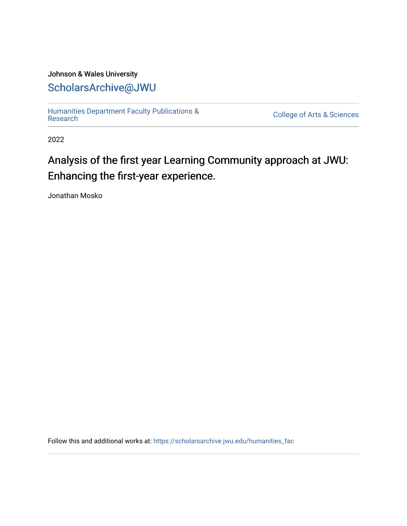#### Johnson & Wales University [ScholarsArchive@JWU](https://scholarsarchive.jwu.edu/)

[Humanities Department Faculty Publications &](https://scholarsarchive.jwu.edu/humanities_fac)

**College of Arts & Sciences** 

2022

#### Analysis of the first year Learning Community approach at JWU: Enhancing the first-year experience.

Jonathan Mosko

Follow this and additional works at: [https://scholarsarchive.jwu.edu/humanities\\_fac](https://scholarsarchive.jwu.edu/humanities_fac?utm_source=scholarsarchive.jwu.edu%2Fhumanities_fac%2F47&utm_medium=PDF&utm_campaign=PDFCoverPages)